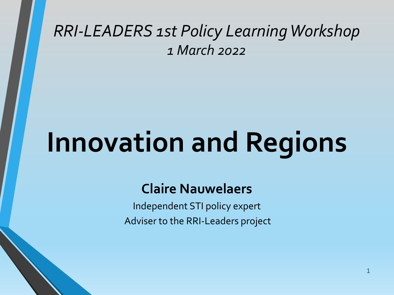#### *RRI-LEADERS 1st Policy Learning Workshop 1 March 2022*

# **Innovation and Regions**

#### **Claire Nauwelaers**

Independent STI policy expert Adviser to the RRI-Leaders project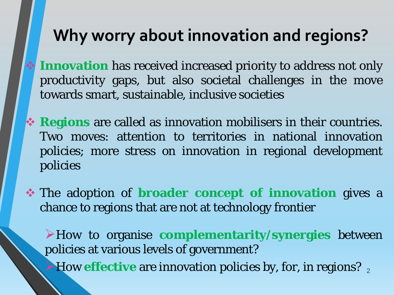#### **Why worry about innovation and regions?**

- **Innovation** has received increased priority to address not only productivity gaps, but also societal challenges in the move towards smart, sustainable, inclusive societies
- **Regions** are called as innovation mobilisers in their countries. Two moves: attention to territories in national innovation policies; more stress on innovation in regional development policies
- The adoption of **broader concept of innovation** gives a chance to regions that are not at technology frontier

**2 How effective** are innovation policies by, for, in regions? How to organise **complementarity/synergies** between policies at various levels of government?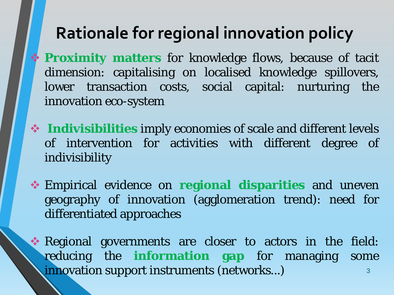#### **Rationale for regional innovation policy**

- **Proximity matters** for knowledge flows, because of tacit dimension: capitalising on localised knowledge spillovers, lower transaction costs, social capital: nurturing the innovation eco-system
- **Indivisibilities** imply economies of scale and different levels of intervention for activities with different degree of indivisibility
- Empirical evidence on **regional disparities** and uneven geography of innovation (agglomeration trend): need for differentiated approaches
- 3 Regional governments are closer to actors in the field: reducing the **information gap** for managing some innovation support instruments (networks...)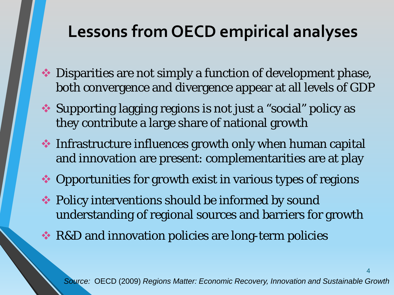# **Lessons from OECD empirical analyses**

- Disparities are not simply a function of development phase, both convergence and divergence appear at all levels of GDP
- Supporting lagging regions is not just a "social" policy as they contribute a large share of national growth
- **◆ Infrastructure influences growth only when human capital** and innovation are present: complementarities are at play
- ◆ Opportunities for growth exist in various types of regions
- Policy interventions should be informed by sound understanding of regional sources and barriers for growth
- **★ R&D and innovation policies are long-term policies**

*Source:* OECD (2009) *Regions Matter: Economic Recovery, Innovation and Sustainable Growth*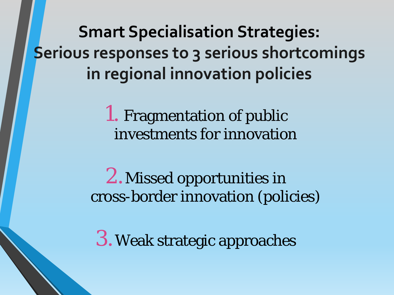**Smart Specialisation Strategies: Serious responses to 3 serious shortcomings in regional innovation policies**

> 1. Fragmentation of public investments for innovation

2.Missed opportunities in cross-border innovation (policies)

3.Weak strategic approaches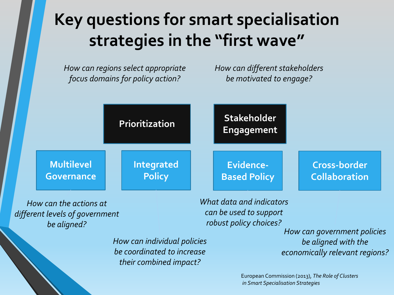# **Key questions for smart specialisation strategies in the "first wave"**

*How can regions select appropriate focus domains for policy action?*

*How can different stakeholders be motivated to engage?*



*robust policy choices?*

*How can individual policies be coordinated to increase their combined impact?*

*be aligned? How can government policies be aligned with the economically relevant regions?*

> European Commission (2013), *The Role of Clusters in Smart Specialisation Strategies*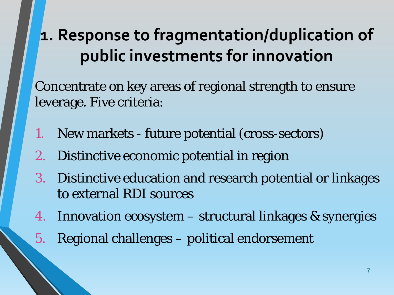# **1. Response to fragmentation/duplication of public investments for innovation**

Concentrate on key areas of regional strength to ensure leverage. Five criteria:

- 1. New markets future potential (cross-sectors)
- 2. Distinctive economic potential in region
- 3. Distinctive education and research potential or linkages to external RDI sources
- 4. Innovation ecosystem structural linkages & synergies
- 5. Regional challenges political endorsement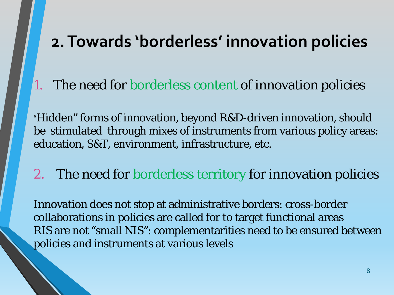#### **2. Towards 'borderless' innovation policies**

The need for borderless content of innovation policies

"Hidden" forms of innovation, beyond R&D-driven innovation, should be stimulated through mixes of instruments from various policy areas: education, S&T, environment, infrastructure, etc.

2. The need for borderless territory for innovation policies

Innovation does not stop at administrative borders: cross-border collaborations in policies are called for to target functional areas RIS are not "small NIS": complementarities need to be ensured between policies and instruments at various levels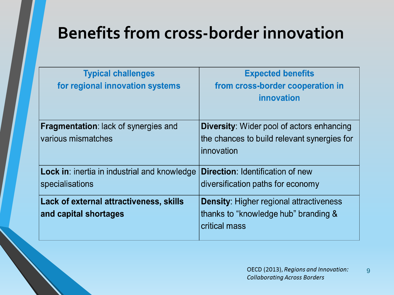# **Benefits from cross-border innovation**

| <b>Typical challenges</b><br>for regional innovation systems           | <b>Expected benefits</b><br>from cross-border cooperation in<br>innovation                                    |
|------------------------------------------------------------------------|---------------------------------------------------------------------------------------------------------------|
| <b>Fragmentation:</b> lack of synergies and<br>various mismatches      | <b>Diversity:</b> Wider pool of actors enhancing<br>the chances to build relevant synergies for<br>innovation |
| <b>Lock in:</b> inertia in industrial and knowledge<br>specialisations | <b>Direction: Identification of new</b><br>diversification paths for economy                                  |
| Lack of external attractiveness, skills<br>and capital shortages       | <b>Density: Higher regional attractiveness</b><br>thanks to "knowledge hub" branding &<br>critical mass       |

9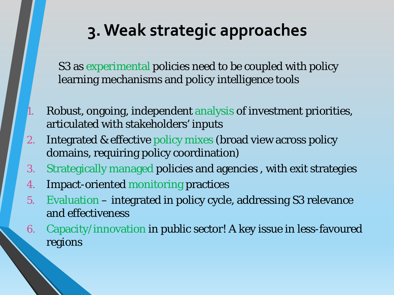#### **3. Weak strategic approaches**

S3 as experimental policies need to be coupled with policy learning mechanisms and policy intelligence tools

- Robust, ongoing, independent analysis of investment priorities, articulated with stakeholders' inputs
- 2. Integrated & effective policy mixes (broad view across policy domains, requiring policy coordination)
- 3. Strategically managed policies and agencies , with exit strategies
- 4. Impact-oriented monitoring practices
- 5. Evaluation integrated in policy cycle, addressing S3 relevance and effectiveness
- 6. Capacity/innovation in public sector! A key issue in less-favoured regions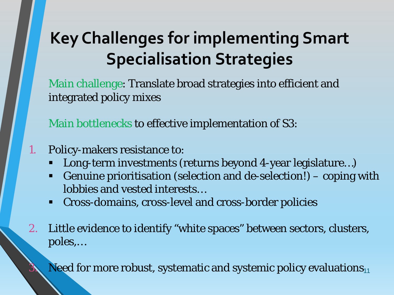# **Key Challenges for implementing Smart Specialisation Strategies**

Main challenge: Translate broad strategies into efficient and integrated policy mixes

Main bottlenecks to effective implementation of S3:

- 1. Policy-makers resistance to:
	- Long-term investments (returns beyond 4-year legislature…)
	- Genuine prioritisation (selection and de-selection!) coping with lobbies and vested interests…
	- Cross-domains, cross-level and cross-border policies
- 2. Little evidence to identify "white spaces" between sectors, clusters, poles,…

 $3.$  Need for more robust, systematic and systemic policy evaluations $_{11}$